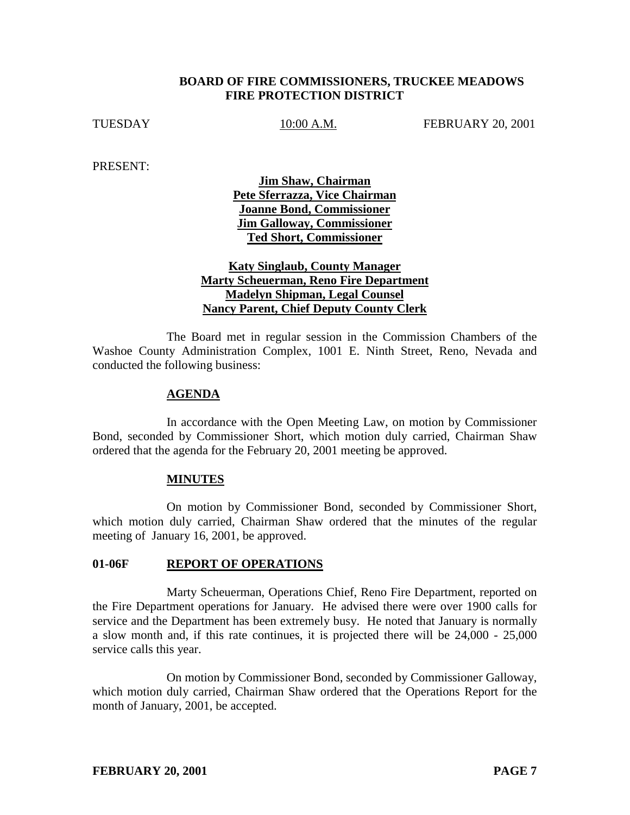### **BOARD OF FIRE COMMISSIONERS, TRUCKEE MEADOWS FIRE PROTECTION DISTRICT**

TUESDAY 10:00 A.M. FEBRUARY 20, 2001

PRESENT:

**Jim Shaw, Chairman Pete Sferrazza, Vice Chairman Joanne Bond, Commissioner Jim Galloway, Commissioner Ted Short, Commissioner**

# **Katy Singlaub, County Manager Marty Scheuerman, Reno Fire Department Madelyn Shipman, Legal Counsel Nancy Parent, Chief Deputy County Clerk**

The Board met in regular session in the Commission Chambers of the Washoe County Administration Complex, 1001 E. Ninth Street, Reno, Nevada and conducted the following business:

#### **AGENDA**

In accordance with the Open Meeting Law, on motion by Commissioner Bond, seconded by Commissioner Short, which motion duly carried, Chairman Shaw ordered that the agenda for the February 20, 2001 meeting be approved.

#### **MINUTES**

On motion by Commissioner Bond, seconded by Commissioner Short, which motion duly carried, Chairman Shaw ordered that the minutes of the regular meeting of January 16, 2001, be approved.

# 01-06F REPORT OF OPERATIONS

Marty Scheuerman, Operations Chief, Reno Fire Department, reported on the Fire Department operations for January. He advised there were over 1900 calls for service and the Department has been extremely busy. He noted that January is normally a slow month and, if this rate continues, it is projected there will be 24,000 - 25,000 service calls this year.

On motion by Commissioner Bond, seconded by Commissioner Galloway, which motion duly carried, Chairman Shaw ordered that the Operations Report for the month of January, 2001, be accepted.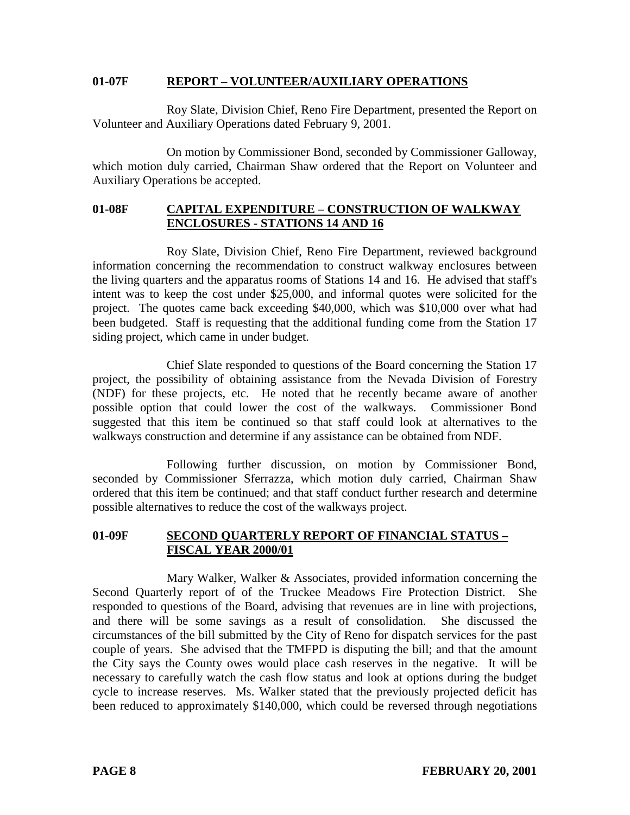#### **01-07F REPORT – VOLUNTEER/AUXILIARY OPERATIONS**

Roy Slate, Division Chief, Reno Fire Department, presented the Report on Volunteer and Auxiliary Operations dated February 9, 2001.

On motion by Commissioner Bond, seconded by Commissioner Galloway, which motion duly carried, Chairman Shaw ordered that the Report on Volunteer and Auxiliary Operations be accepted.

# **01-08F CAPITAL EXPENDITURE – CONSTRUCTION OF WALKWAY ENCLOSURES - STATIONS 14 AND 16**

Roy Slate, Division Chief, Reno Fire Department, reviewed background information concerning the recommendation to construct walkway enclosures between the living quarters and the apparatus rooms of Stations 14 and 16. He advised that staff's intent was to keep the cost under \$25,000, and informal quotes were solicited for the project. The quotes came back exceeding \$40,000, which was \$10,000 over what had been budgeted. Staff is requesting that the additional funding come from the Station 17 siding project, which came in under budget.

Chief Slate responded to questions of the Board concerning the Station 17 project, the possibility of obtaining assistance from the Nevada Division of Forestry (NDF) for these projects, etc. He noted that he recently became aware of another possible option that could lower the cost of the walkways. Commissioner Bond suggested that this item be continued so that staff could look at alternatives to the walkways construction and determine if any assistance can be obtained from NDF.

Following further discussion, on motion by Commissioner Bond, seconded by Commissioner Sferrazza, which motion duly carried, Chairman Shaw ordered that this item be continued; and that staff conduct further research and determine possible alternatives to reduce the cost of the walkways project.

### **01-09F SECOND QUARTERLY REPORT OF FINANCIAL STATUS – FISCAL YEAR 2000/01**

Mary Walker, Walker & Associates, provided information concerning the Second Quarterly report of of the Truckee Meadows Fire Protection District. She responded to questions of the Board, advising that revenues are in line with projections, and there will be some savings as a result of consolidation. She discussed the circumstances of the bill submitted by the City of Reno for dispatch services for the past couple of years. She advised that the TMFPD is disputing the bill; and that the amount the City says the County owes would place cash reserves in the negative. It will be necessary to carefully watch the cash flow status and look at options during the budget cycle to increase reserves. Ms. Walker stated that the previously projected deficit has been reduced to approximately \$140,000, which could be reversed through negotiations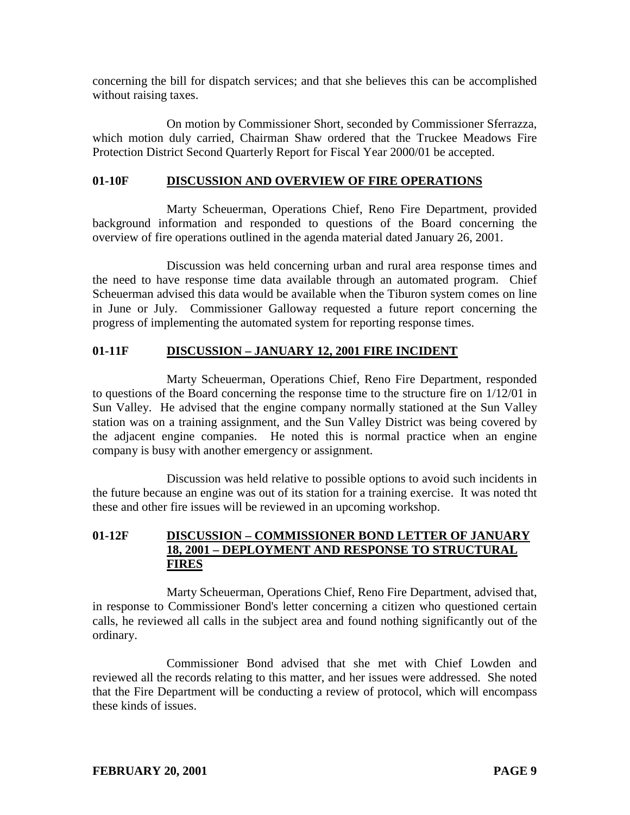concerning the bill for dispatch services; and that she believes this can be accomplished without raising taxes.

On motion by Commissioner Short, seconded by Commissioner Sferrazza, which motion duly carried, Chairman Shaw ordered that the Truckee Meadows Fire Protection District Second Quarterly Report for Fiscal Year 2000/01 be accepted.

#### **01-10F DISCUSSION AND OVERVIEW OF FIRE OPERATIONS**

Marty Scheuerman, Operations Chief, Reno Fire Department, provided background information and responded to questions of the Board concerning the overview of fire operations outlined in the agenda material dated January 26, 2001.

Discussion was held concerning urban and rural area response times and the need to have response time data available through an automated program. Chief Scheuerman advised this data would be available when the Tiburon system comes on line in June or July. Commissioner Galloway requested a future report concerning the progress of implementing the automated system for reporting response times.

# **01-11F DISCUSSION – JANUARY 12, 2001 FIRE INCIDENT**

Marty Scheuerman, Operations Chief, Reno Fire Department, responded to questions of the Board concerning the response time to the structure fire on 1/12/01 in Sun Valley. He advised that the engine company normally stationed at the Sun Valley station was on a training assignment, and the Sun Valley District was being covered by the adjacent engine companies. He noted this is normal practice when an engine company is busy with another emergency or assignment.

Discussion was held relative to possible options to avoid such incidents in the future because an engine was out of its station for a training exercise. It was noted tht these and other fire issues will be reviewed in an upcoming workshop.

### **01-12F DISCUSSION – COMMISSIONER BOND LETTER OF JANUARY 18, 2001 – DEPLOYMENT AND RESPONSE TO STRUCTURAL FIRES**

Marty Scheuerman, Operations Chief, Reno Fire Department, advised that, in response to Commissioner Bond's letter concerning a citizen who questioned certain calls, he reviewed all calls in the subject area and found nothing significantly out of the ordinary.

Commissioner Bond advised that she met with Chief Lowden and reviewed all the records relating to this matter, and her issues were addressed. She noted that the Fire Department will be conducting a review of protocol, which will encompass these kinds of issues.